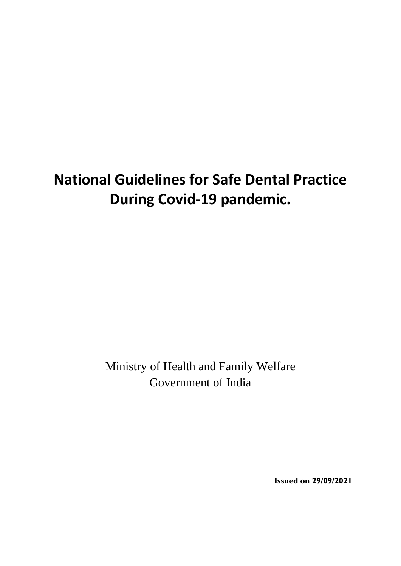# **National Guidelines for Safe Dental Practice During Covid-19 pandemic.**

Ministry of Health and Family Welfare Government of India

**Issued on 29/09/2021**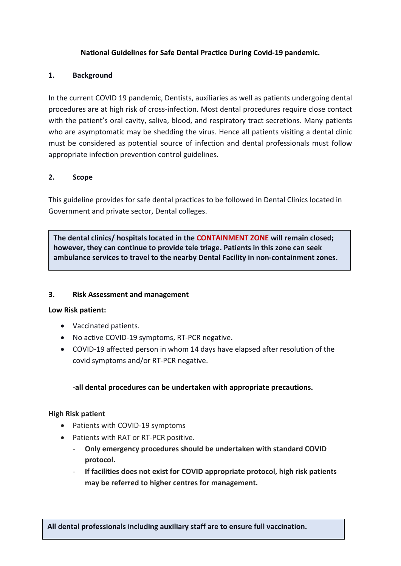#### **National Guidelines for Safe Dental Practice During Covid-19 pandemic.**

#### **1. Background**

In the current COVID 19 pandemic, Dentists, auxiliaries as well as patients undergoing dental procedures are at high risk of cross-infection. Most dental procedures require close contact with the patient's oral cavity, saliva, blood, and respiratory tract secretions. Many patients who are asymptomatic may be shedding the virus. Hence all patients visiting a dental clinic must be considered as potential source of infection and dental professionals must follow appropriate infection prevention control guidelines.

#### **2. Scope**

This guideline provides for safe dental practices to be followed in Dental Clinics located in Government and private sector, Dental colleges.

**The dental clinics/ hospitals located in the CONTAINMENT ZONE will remain closed; however, they can continue to provide tele triage. Patients in this zone can seek ambulance services to travel to the nearby Dental Facility in non-containment zones.**

#### **3. Risk Assessment and management**

#### **Low Risk patient:**

- Vaccinated patients.
- No active COVID-19 symptoms, RT-PCR negative.
- COVID-19 affected person in whom 14 days have elapsed after resolution of the covid symptoms and/or RT-PCR negative.

#### **-all dental procedures can be undertaken with appropriate precautions.**

#### **High Risk patient**

- Patients with COVID-19 symptoms
- Patients with RAT or RT-PCR positive.
	- **Only emergency procedures should be undertaken with standard COVID protocol.**
	- **If facilities does not exist for COVID appropriate protocol, high risk patients may be referred to higher centres for management.**

**All dental professionals including auxiliary staff are to ensure full vaccination.**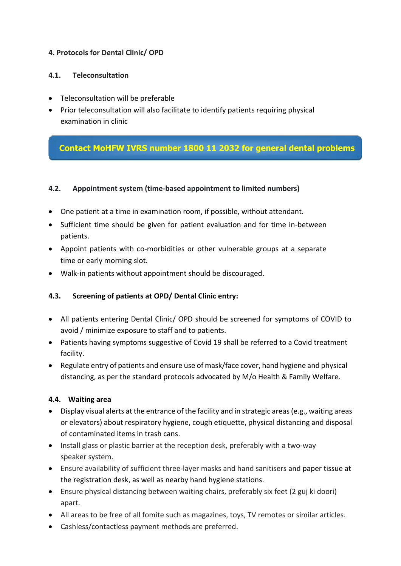## **4. Protocols for Dental Clinic/ OPD**

#### **4.1. Teleconsultation**

- Teleconsultation will be preferable
- Prior teleconsultation will also facilitate to identify patients requiring physical examination in clinic

# **Contact MoHFW IVRS number 1800 11 2032 for general dental problems and queries**

#### **4.2. Appointment system (time-based appointment to limited numbers)**

- One patient at a time in examination room, if possible, without attendant.
- Sufficient time should be given for patient evaluation and for time in-between patients.
- Appoint patients with co-morbidities or other vulnerable groups at a separate time or early morning slot.
- Walk-in patients without appointment should be discouraged.

#### **4.3. Screening of patients at OPD/ Dental Clinic entry:**

- All patients entering Dental Clinic/ OPD should be screened for symptoms of COVID to avoid / minimize exposure to staff and to patients.
- Patients having symptoms suggestive of Covid 19 shall be referred to a Covid treatment facility.
- Regulate entry of patients and ensure use of mask/face cover, hand hygiene and physical distancing, as per the standard protocols advocated by M/o Health & Family Welfare.

#### **4.4. Waiting area**

- Display visual alerts at the entrance of the facility and in strategic areas(e.g., waiting areas or elevators) about respiratory hygiene, cough etiquette, physical distancing and disposal of contaminated items in trash cans.
- Install glass or plastic barrier at the reception desk, preferably with a two-way speaker system.
- Ensure availability of sufficient three-layer masks and hand sanitisers and paper tissue at the registration desk, as well as nearby hand hygiene stations.
- Ensure physical distancing between waiting chairs, preferably six feet (2 guj ki doori) apart.
- All areas to be free of all fomite such as magazines, toys, TV remotes or similar articles.
- Cashless/contactless payment methods are preferred.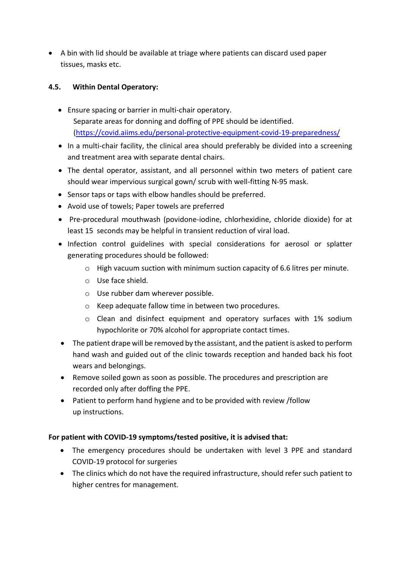A bin with lid should be available at triage where patients can discard used paper tissues, masks etc.

## **4.5. Within Dental Operatory:**

- Ensure spacing or barrier in multi-chair operatory. Separate areas for donning and doffing of PPE should be identified. [\(https://covid.aiims.edu/personal-protective-equipment-covid-19-preparedness/](https://covid.aiims.edu/personal-protective-equipment-covid-19-preparedness/)
- In a multi-chair facility, the clinical area should preferably be divided into a screening and treatment area with separate dental chairs.
- The dental operator, assistant, and all personnel within two meters of patient care should wear impervious surgical gown/ scrub with well-fitting N-95 mask.
- Sensor taps or taps with elbow handles should be preferred.
- Avoid use of towels; Paper towels are preferred
- Pre-procedural mouthwash (povidone-iodine, chlorhexidine, chloride dioxide) for at least 15 seconds may be helpful in transient reduction of viral load.
- Infection control guidelines with special considerations for aerosol or splatter generating procedures should be followed:
	- o High vacuum suction with minimum suction capacity of 6.6 litres per minute.
	- o Use face shield.
	- o Use rubber dam wherever possible.
	- o Keep adequate fallow time in between two procedures.
	- $\circ$  Clean and disinfect equipment and operatory surfaces with 1% sodium hypochlorite or 70% alcohol for appropriate contact times.
- The patient drape will be removed by the assistant, and the patient is asked to perform hand wash and guided out of the clinic towards reception and handed back his foot wears and belongings.
- Remove soiled gown as soon as possible. The procedures and prescription are recorded only after doffing the PPE.
- Patient to perform hand hygiene and to be provided with review /follow up instructions.

#### **For patient with COVID-19 symptoms/tested positive, it is advised that:**

- The emergency procedures should be undertaken with level 3 PPE and standard COVID-19 protocol for surgeries
- The clinics which do not have the required infrastructure, should refer such patient to higher centres for management.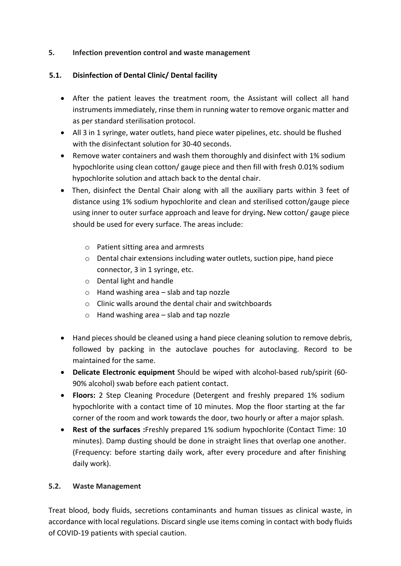#### **5. Infection prevention control and waste management**

#### **5.1. Disinfection of Dental Clinic/ Dental facility**

- After the patient leaves the treatment room, the Assistant will collect all hand instruments immediately, rinse them in running water to remove organic matter and as per standard sterilisation protocol.
- All 3 in 1 syringe, water outlets, hand piece water pipelines, etc. should be flushed with the disinfectant solution for 30-40 seconds.
- Remove water containers and wash them thoroughly and disinfect with 1% sodium hypochlorite using clean cotton/ gauge piece and then fill with fresh 0.01% sodium hypochlorite solution and attach back to the dental chair.
- Then, disinfect the Dental Chair along with all the auxiliary parts within 3 feet of distance using 1% sodium hypochlorite and clean and sterilised cotton/gauge piece using inner to outer surface approach and leave for drying**.** New cotton/ gauge piece should be used for every surface. The areas include:
	- o Patient sitting area and armrests
	- o Dental chair extensions including water outlets, suction pipe, hand piece connector, 3 in 1 syringe, etc.
	- o Dental light and handle
	- $\circ$  Hand washing area slab and tap nozzle
	- o Clinic walls around the dental chair and switchboards
	- o Hand washing area slab and tap nozzle
- Hand pieces should be cleaned using a hand piece cleaning solution to remove debris, followed by packing in the autoclave pouches for autoclaving. Record to be maintained for the same.
- **Delicate Electronic equipment** Should be wiped with alcohol-based rub/spirit (60- 90% alcohol) swab before each patient contact.
- **Floors:** 2 Step Cleaning Procedure (Detergent and freshly prepared 1% sodium hypochlorite with a contact time of 10 minutes. Mop the floor starting at the far corner of the room and work towards the door, two hourly or after a major splash.
- **Rest of the surfaces :**Freshly prepared 1% sodium hypochlorite (Contact Time: 10 minutes). Damp dusting should be done in straight lines that overlap one another. (Frequency: before starting daily work, after every procedure and after finishing daily work).

#### **5.2. Waste Management**

Treat blood, body fluids, secretions contaminants and human tissues as clinical waste, in accordance with local regulations. Discard single use items coming in contact with body fluids of COVID-19 patients with special caution.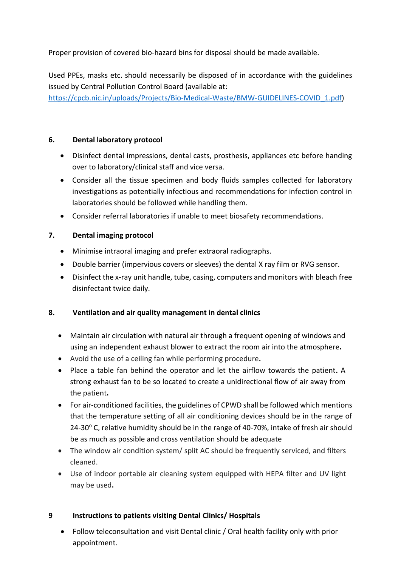Proper provision of covered bio-hazard bins for disposal should be made available.

Used PPEs, masks etc. should necessarily be disposed of in accordance with the guidelines issued by Central Pollution Control Board (available at:

[https://cpcb.nic.in/uploads/Projects/Bio-Medical-Waste/BMW-GUIDELINES-COVID\\_1.pdf\)](https://cpcb.nic.in/uploads/Projects/Bio-Medical-Waste/BMW-GUIDELINES-COVID_1.pdf)

### **6. Dental laboratory protocol**

- Disinfect dental impressions, dental casts, prosthesis, appliances etc before handing over to laboratory/clinical staff and vice versa.
- Consider all the tissue specimen and body fluids samples collected for laboratory investigations as potentially infectious and recommendations for infection control in laboratories should be followed while handling them.
- Consider referral laboratories if unable to meet biosafety recommendations.

# **7. Dental imaging protocol**

- Minimise intraoral imaging and prefer extraoral radiographs.
- Double barrier (impervious covers or sleeves) the dental X ray film or RVG sensor.
- Disinfect the x-ray unit handle, tube, casing, computers and monitors with bleach free disinfectant twice daily.

#### **8. Ventilation and air quality management in dental clinics**

- Maintain air circulation with natural air through a frequent opening of windows and using an independent exhaust blower to extract the room air into the atmosphere**.**
- Avoid the use of a ceiling fan while performing procedure**.**
- Place a table fan behind the operator and let the airflow towards the patient**.** A strong exhaust fan to be so located to create a unidirectional flow of air away from the patient**.**
- For air-conditioned facilities, the guidelines of CPWD shall be followed which mentions that the temperature setting of all air conditioning devices should be in the range of 24-30 $\degree$  C, relative humidity should be in the range of 40-70%, intake of fresh air should be as much as possible and cross ventilation should be adequate
- The window air condition system/ split AC should be frequently serviced, and filters cleaned.
- Use of indoor portable air cleaning system equipped with HEPA filter and UV light may be used**.**

# **9 Instructions to patients visiting Dental Clinics/ Hospitals**

 Follow teleconsultation and visit Dental clinic / Oral health facility only with prior appointment.